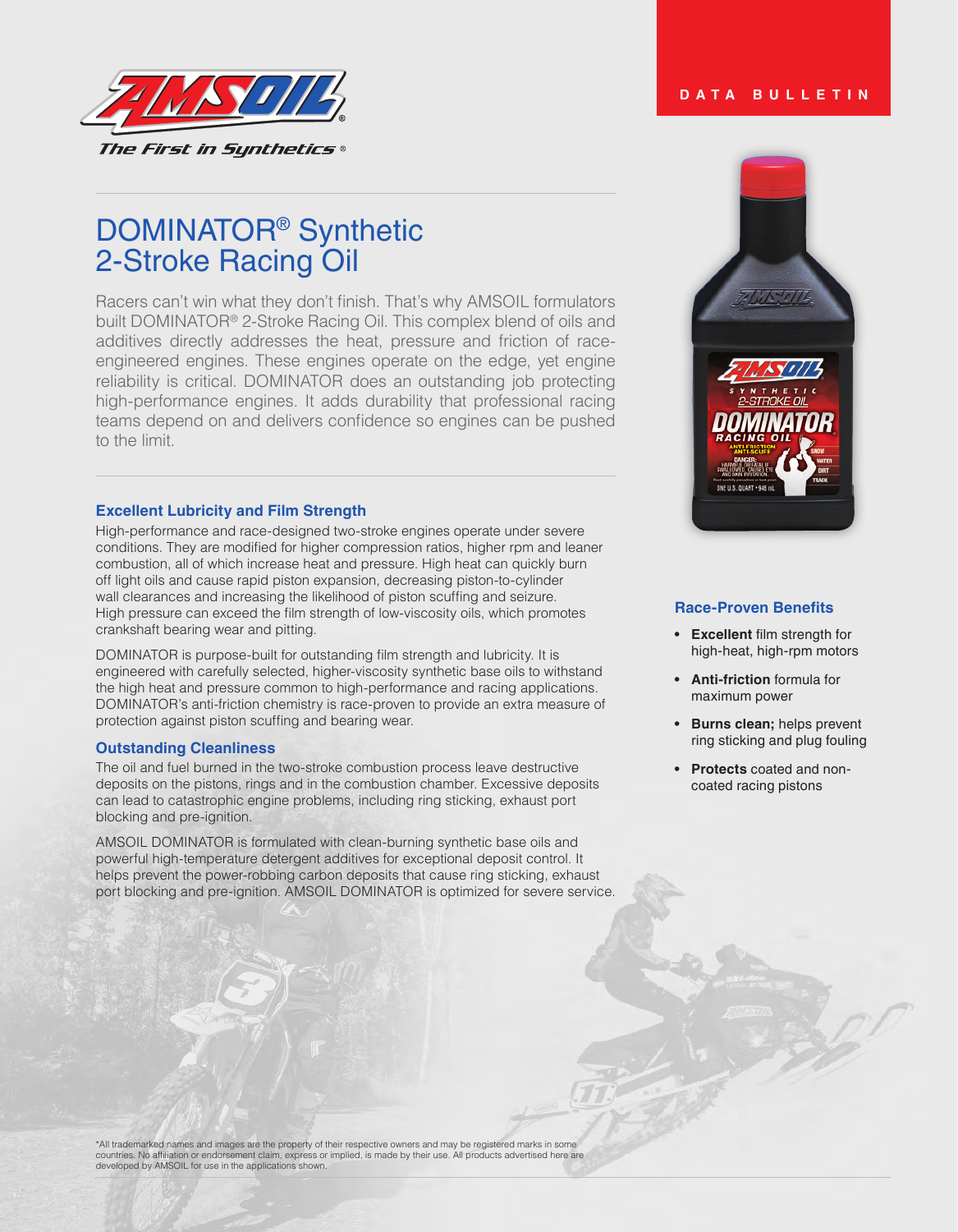

# DOMINATOR® Synthetic 2-Stroke Racing Oil

Racers can't win what they don't finish. That's why AMSOIL formulators built DOMINATOR® 2-Stroke Racing Oil. This complex blend of oils and additives directly addresses the heat, pressure and friction of raceengineered engines. These engines operate on the edge, yet engine reliability is critical. DOMINATOR does an outstanding job protecting high-performance engines. It adds durability that professional racing teams depend on and delivers confidence so engines can be pushed to the limit.

## **Excellent Lubricity and Film Strength**

High-performance and race-designed two-stroke engines operate under severe conditions. They are modified for higher compression ratios, higher rpm and leaner combustion, all of which increase heat and pressure. High heat can quickly burn off light oils and cause rapid piston expansion, decreasing piston-to-cylinder wall clearances and increasing the likelihood of piston scuffing and seizure. High pressure can exceed the film strength of low-viscosity oils, which promotes crankshaft bearing wear and pitting.

DOMINATOR is purpose-built for outstanding film strength and lubricity. It is engineered with carefully selected, higher-viscosity synthetic base oils to withstand the high heat and pressure common to high-performance and racing applications. DOMINATOR's anti-friction chemistry is race-proven to provide an extra measure of protection against piston scuffing and bearing wear*.*

## **Outstanding Cleanliness**

The oil and fuel burned in the two-stroke combustion process leave destructive deposits on the pistons, rings and in the combustion chamber. Excessive deposits can lead to catastrophic engine problems, including ring sticking, exhaust port blocking and pre-ignition.

AMSOIL DOMINATOR is formulated with clean-burning synthetic base oils and powerful high-temperature detergent additives for exceptional deposit control. It helps prevent the power-robbing carbon deposits that cause ring sticking, exhaust port blocking and pre-ignition. AMSOIL DOMINATOR is optimized for severe service.



# **Race-Proven Benefits**

- **• Excellent** film strength for high-heat, high-rpm motors
- **• Anti-friction** formula for maximum power
- **• Burns clean;** helps prevent ring sticking and plug fouling
- **• Protects** coated and noncoated racing pistons

\*All trademarked names and images are the property of their respective owners and may be registered marks in some countries. No affiliation or endorsement claim, express or implied, is made by their use. All products advertised here are developed by AMSOIL for use in the applications shown.

# **DATA BULLETIN**